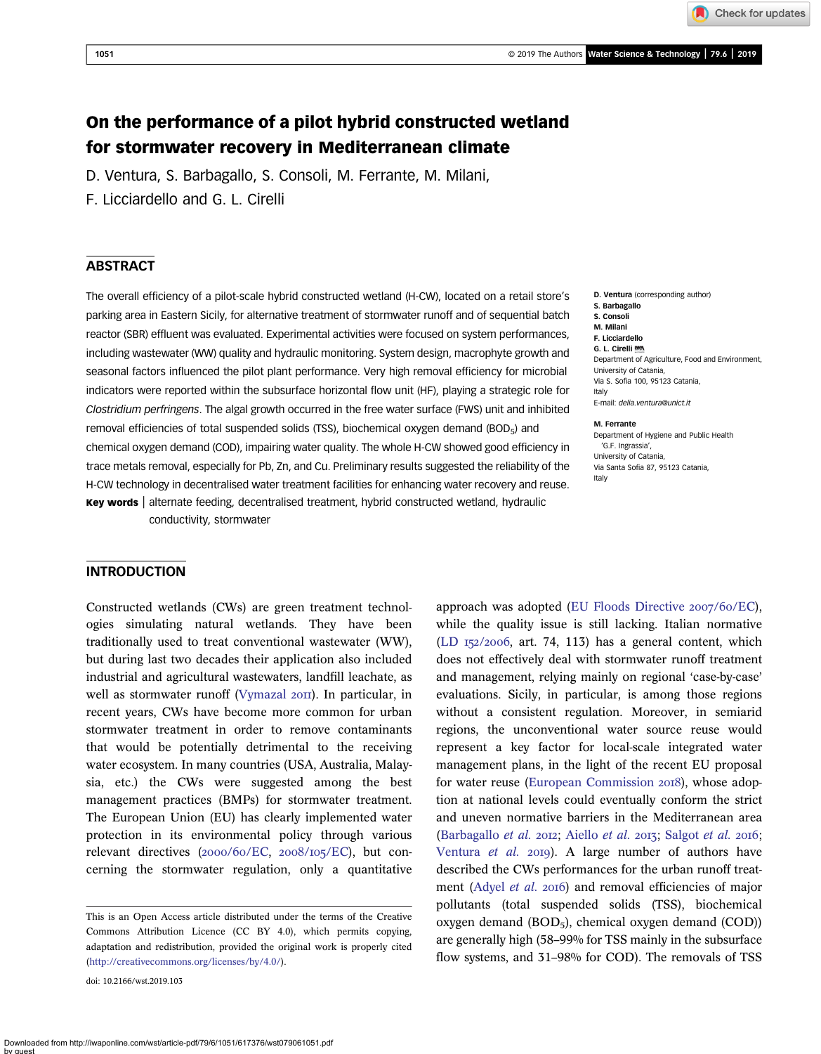Check for updates

# On the performance of a pilot hybrid constructed wetland for stormwater recovery in Mediterranean climate

D. Ventura, S. Barbagallo, S. Consoli, M. Ferrante, M. Milani,

F. Licciardello and G. L. Cirelli

## ABSTRACT

The overall efficiency of a pilot-scale hybrid constructed wetland (H-CW), located on a retail store's parking area in Eastern Sicily, for alternative treatment of stormwater runoff and of sequential batch reactor (SBR) effluent was evaluated. Experimental activities were focused on system performances, including wastewater (WW) quality and hydraulic monitoring. System design, macrophyte growth and seasonal factors influenced the pilot plant performance. Very high removal efficiency for microbial indicators were reported within the subsurface horizontal flow unit (HF), playing a strategic role for Clostridium perfringens. The algal growth occurred in the free water surface (FWS) unit and inhibited removal efficiencies of total suspended solids (TSS), biochemical oxygen demand (BOD $_5$ ) and chemical oxygen demand (COD), impairing water quality. The whole H-CW showed good efficiency in trace metals removal, especially for Pb, Zn, and Cu. Preliminary results suggested the reliability of the H-CW technology in decentralised water treatment facilities for enhancing water recovery and reuse. Key words | alternate feeding, decentralised treatment, hybrid constructed wetland, hydraulic

conductivity, stormwater

#### INTRODUCTION

Constructed wetlands (CWs) are green treatment technologies simulating natural wetlands. They have been traditionally used to treat conventional wastewater (WW), but during last two decades their application also included industrial and agricultural wastewaters, landfill leachate, as well as stormwater runoff [\(Vymazal](#page-8-0) 2011). In particular, in recent years, CWs have become more common for urban stormwater treatment in order to remove contaminants that would be potentially detrimental to the receiving water ecosystem. In many countries (USA, Australia, Malaysia, etc.) the CWs were suggested among the best management practices (BMPs) for stormwater treatment. The European Union (EU) has clearly implemented water protection in its environmental policy through various relevant directives (2000/60/EC, 2008/105/EC), but concerning the stormwater regulation, only a quantitative

doi: 10.2166/wst.2019.103

D. Ventura (corresponding author) S. Barbagallo S. Consoli M. Milani F. Licciardello G. L. Cirelli Department of Agriculture, Food and Environment, University of Catania,

Via S. Sofia 100, 95123 Catania, Italy

E-mail: [delia.ventura@unict.it](mailto:delia.ventura@unict.it)

#### M. Ferrante

Department of Hygiene and Public Health 'G.F. Ingrassia', University of Catania, Via Santa Sofia 87, 95123 Catania, Italy

approach was adopted ([EU Floods Directive](#page-7-0)  $2007/60/EC$ ), while the quality issue is still lacking. Italian normative  $(LD_{I52}/2006,$  art. 74, 113) has a general content, which does not effectively deal with stormwater runoff treatment and management, relying mainly on regional 'case-by-case' evaluations. Sicily, in particular, is among those regions without a consistent regulation. Moreover, in semiarid regions, the unconventional water source reuse would represent a key factor for local-scale integrated water management plans, in the light of the recent EU proposal for water reuse [\(European Commission](#page-7-0) 2018), whose adoption at national levels could eventually conform the strict and uneven normative barriers in the Mediterranean area [\(Barbagallo](#page-7-0) et al. 2012; [Aiello](#page-7-0) et al. 2013; [Salgot](#page-8-0) et al. 2016; [Ventura](#page-8-0) et al. 2019). A large number of authors have described the CWs performances for the urban runoff treat-ment ([Adyel](#page-7-0) et al. 2016) and removal efficiencies of major pollutants (total suspended solids (TSS), biochemical oxygen demand  $(BOD<sub>5</sub>)$ , chemical oxygen demand  $(COD)$ ) are generally high (58–99% for TSS mainly in the subsurface flow systems, and 31–98% for COD). The removals of TSS

This is an Open Access article distributed under the terms of the Creative Commons Attribution Licence (CC BY 4.0), which permits copying, adaptation and redistribution, provided the original work is properly cited [\(http://creativecommons.org/licenses/by/4.0/](http://creativecommons.org/licenses/by/4.0/)).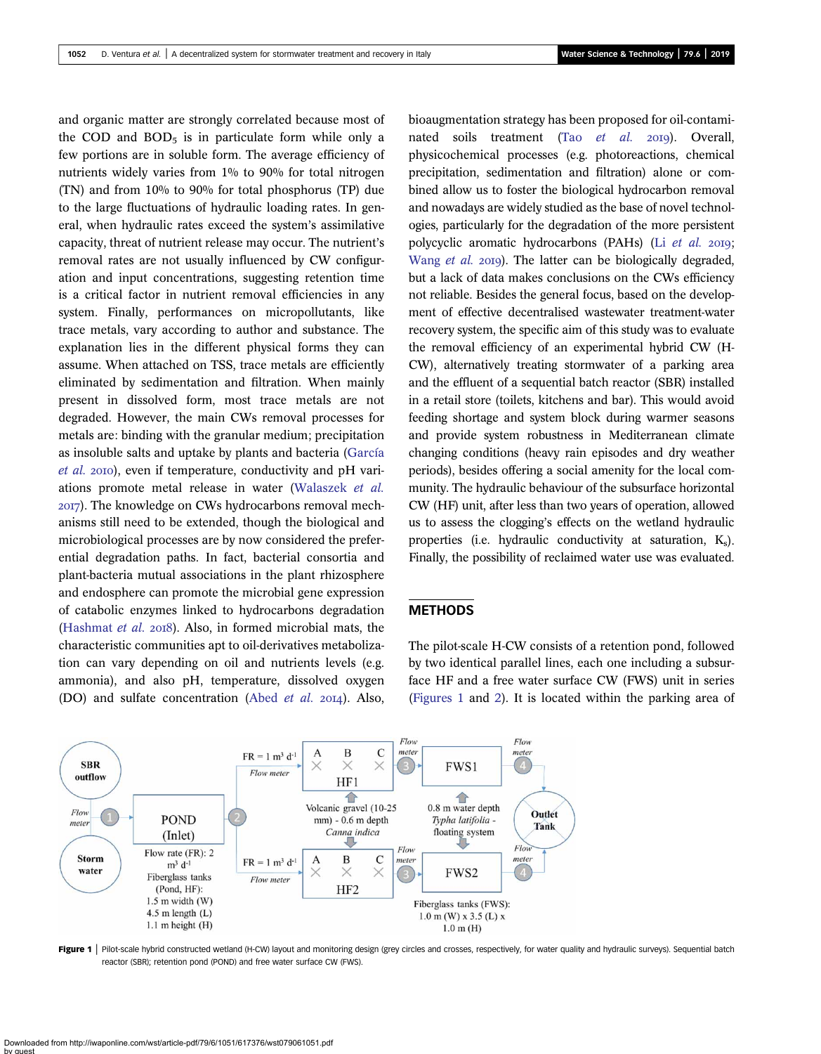<span id="page-1-0"></span>and organic matter are strongly correlated because most of the COD and  $BOD<sub>5</sub>$  is in particulate form while only a few portions are in soluble form. The average efficiency of nutrients widely varies from 1% to 90% for total nitrogen (TN) and from 10% to 90% for total phosphorus (TP) due to the large fluctuations of hydraulic loading rates. In general, when hydraulic rates exceed the system's assimilative capacity, threat of nutrient release may occur. The nutrient's removal rates are not usually influenced by CW configuration and input concentrations, suggesting retention time is a critical factor in nutrient removal efficiencies in any system. Finally, performances on micropollutants, like trace metals, vary according to author and substance. The explanation lies in the different physical forms they can assume. When attached on TSS, trace metals are efficiently eliminated by sedimentation and filtration. When mainly present in dissolved form, most trace metals are not degraded. However, the main CWs removal processes for metals are: binding with the granular medium; precipitation as insoluble salts and uptake by plants and bacteria ([García](#page-7-0) [et al.](#page-7-0) 2010), even if temperature, conductivity and pH variations promote metal release in water [\(Walaszek](#page-8-0) et al. ). The knowledge on CWs hydrocarbons removal mechanisms still need to be extended, though the biological and microbiological processes are by now considered the preferential degradation paths. In fact, bacterial consortia and plant-bacteria mutual associations in the plant rhizosphere and endosphere can promote the microbial gene expression of catabolic enzymes linked to hydrocarbons degradation ([Hashmat](#page-7-0) et al. 2018). Also, in formed microbial mats, the characteristic communities apt to oil-derivatives metabolization can vary depending on oil and nutrients levels (e.g. ammonia), and also pH, temperature, dissolved oxygen (DO) and sulfate concentration (Abed  $et$   $al.$  2014). Also,

bioaugmentation strategy has been proposed for oil-contaminated soils treatment (Tao  $et$  al.  $20I9$ ). Overall, physicochemical processes (e.g. photoreactions, chemical precipitation, sedimentation and filtration) alone or combined allow us to foster the biological hydrocarbon removal and nowadays are widely studied as the base of novel technologies, particularly for the degradation of the more persistent polycyclic aromatic hydrocarbons (PAHs) (Li [et al.](#page-7-0) 2019; [Wang](#page-8-0) et al. 2019). The latter can be biologically degraded, but a lack of data makes conclusions on the CWs efficiency not reliable. Besides the general focus, based on the development of effective decentralised wastewater treatment-water recovery system, the specific aim of this study was to evaluate the removal efficiency of an experimental hybrid CW (H-CW), alternatively treating stormwater of a parking area and the effluent of a sequential batch reactor (SBR) installed in a retail store (toilets, kitchens and bar). This would avoid feeding shortage and system block during warmer seasons and provide system robustness in Mediterranean climate changing conditions (heavy rain episodes and dry weather periods), besides offering a social amenity for the local community. The hydraulic behaviour of the subsurface horizontal CW (HF) unit, after less than two years of operation, allowed us to assess the clogging's effects on the wetland hydraulic properties (i.e. hydraulic conductivity at saturation,  $K_s$ ). Finally, the possibility of reclaimed water use was evaluated.

## **METHODS**

The pilot-scale H-CW consists of a retention pond, followed by two identical parallel lines, each one including a subsurface HF and a free water surface CW (FWS) unit in series (Figures 1 and [2](#page-2-0)). It is located within the parking area of



Figure 1 | Pilot-scale hybrid constructed wetland (H-CW) layout and monitoring design (grey circles and crosses, respectively, for water quality and hydraulic surveys). Sequential batch reactor (SBR); retention pond (POND) and free water surface CW (FWS).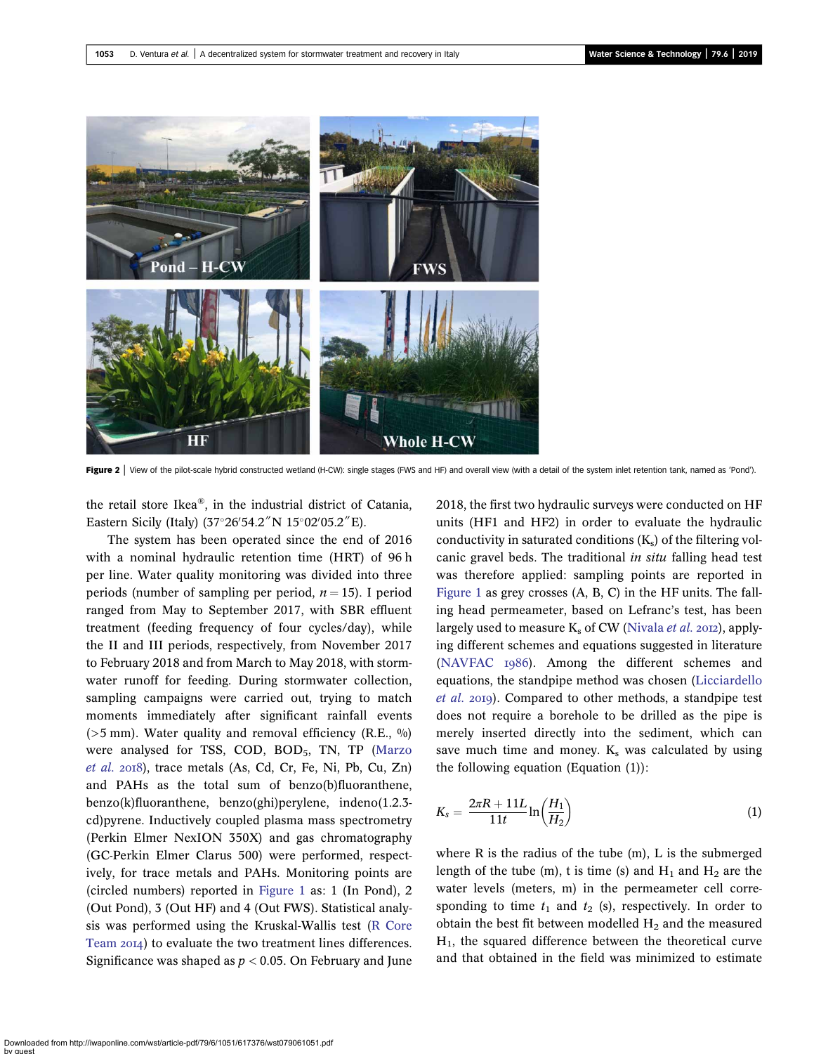<span id="page-2-0"></span>

Figure 2 | View of the pilot-scale hybrid constructed wetland (H-CW): single stages (FWS and HF) and overall view (with a detail of the system inlet retention tank, named as 'Pond').

the retail store Ikea®, in the industrial district of Catania, Eastern Sicily (Italy)  $(37°26'54.2'' N 15°02'05.2'' E)$ .

The system has been operated since the end of 2016 with a nominal hydraulic retention time (HRT) of 96 h per line. Water quality monitoring was divided into three periods (number of sampling per period,  $n = 15$ ). I period ranged from May to September 2017, with SBR effluent treatment (feeding frequency of four cycles/day), while the II and III periods, respectively, from November 2017 to February 2018 and from March to May 2018, with stormwater runoff for feeding. During stormwater collection, sampling campaigns were carried out, trying to match moments immediately after significant rainfall events ( $>5$  mm). Water quality and removal efficiency (R.E.,  $\%$ ) were analysed for TSS, COD, BOD<sub>5</sub>, TN, TP ([Marzo](#page-8-0) [et al.](#page-8-0) 2018), trace metals (As, Cd, Cr, Fe, Ni, Pb, Cu, Zn) and PAHs as the total sum of benzo(b)fluoranthene, benzo(k)fluoranthene, benzo(ghi)perylene, indeno(1.2.3 cd)pyrene. Inductively coupled plasma mass spectrometry (Perkin Elmer NexION 350X) and gas chromatography (GC-Perkin Elmer Clarus 500) were performed, respectively, for trace metals and PAHs. Monitoring points are (circled numbers) reported in [Figure 1](#page-1-0) as: 1 (In Pond), 2 (Out Pond), 3 (Out HF) and 4 (Out FWS). Statistical analysis was performed using the Kruskal-Wallis test ([R Core](#page-8-0) [Team](#page-8-0) 2014) to evaluate the two treatment lines differences. Significance was shaped as  $p < 0.05$ . On February and June 2018, the first two hydraulic surveys were conducted on HF units (HF1 and HF2) in order to evaluate the hydraulic conductivity in saturated conditions  $(K<sub>s</sub>)$  of the filtering volcanic gravel beds. The traditional in situ falling head test was therefore applied: sampling points are reported in [Figure 1](#page-1-0) as grey crosses (A, B, C) in the HF units. The falling head permeameter, based on Lefranc's test, has been largely used to measure  $K_s$  of CW ([Nivala](#page-8-0) *et al.* 2012), applying different schemes and equations suggested in literature [\(NAVFAC](#page-8-0)  $1986$ ). Among the different schemes and equations, the standpipe method was chosen [\(Licciardello](#page-7-0) [et al.](#page-7-0) 2019). Compared to other methods, a standpipe test does not require a borehole to be drilled as the pipe is merely inserted directly into the sediment, which can save much time and money.  $K_s$  was calculated by using the following equation (Equation  $(1)$ ):

$$
K_s = \frac{2\pi R + 11L}{11t} \ln\left(\frac{H_1}{H_2}\right) \tag{1}
$$

where R is the radius of the tube (m), L is the submerged length of the tube (m), t is time (s) and  $H_1$  and  $H_2$  are the water levels (meters, m) in the permeameter cell corresponding to time  $t_1$  and  $t_2$  (s), respectively. In order to obtain the best fit between modelled  $H_2$  and the measured  $H<sub>1</sub>$ , the squared difference between the theoretical curve and that obtained in the field was minimized to estimate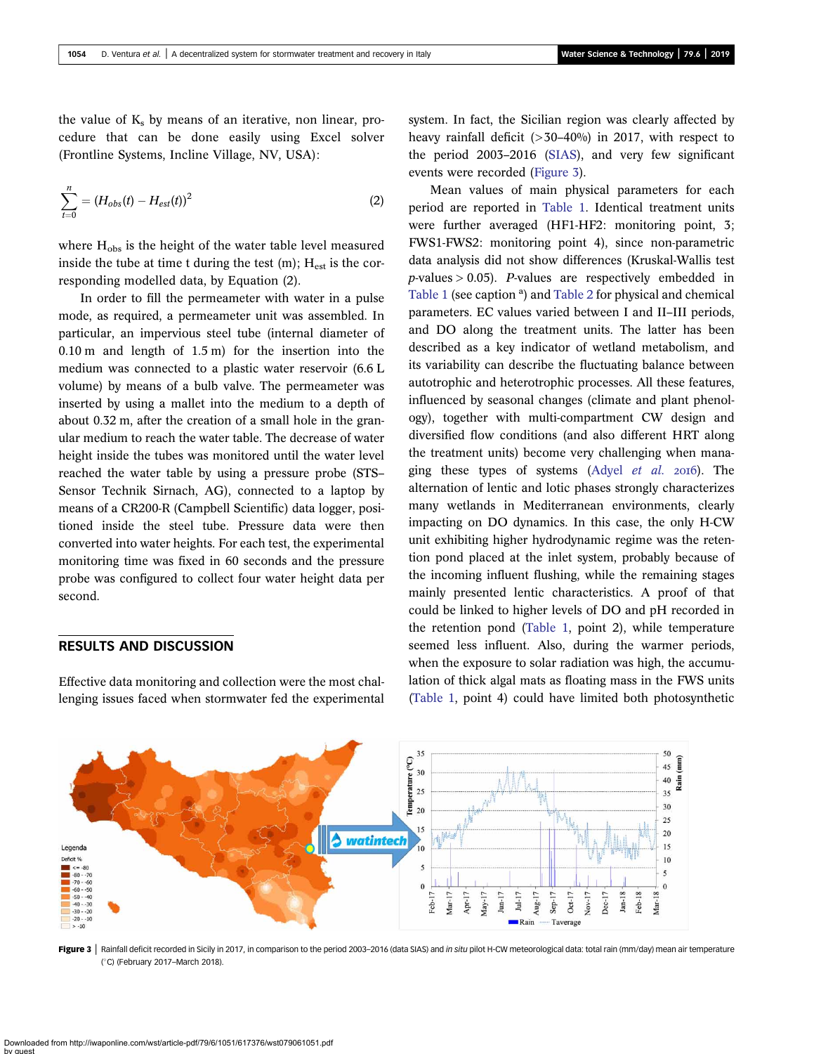the value of  $K_s$  by means of an iterative, non linear, procedure that can be done easily using Excel solver (Frontline Systems, Incline Village, NV, USA):

$$
\sum_{t=0}^{n} = (H_{obs}(t) - H_{est}(t))^{2}
$$
 (2)

where  $H_{obs}$  is the height of the water table level measured inside the tube at time t during the test  $(m)$ ;  $H_{est}$  is the corresponding modelled data, by Equation (2).

In order to fill the permeameter with water in a pulse mode, as required, a permeameter unit was assembled. In particular, an impervious steel tube (internal diameter of 0.10 m and length of 1.5 m) for the insertion into the medium was connected to a plastic water reservoir (6.6 L volume) by means of a bulb valve. The permeameter was inserted by using a mallet into the medium to a depth of about 0.32 m, after the creation of a small hole in the granular medium to reach the water table. The decrease of water height inside the tubes was monitored until the water level reached the water table by using a pressure probe (STS– Sensor Technik Sirnach, AG), connected to a laptop by means of a CR200-R (Campbell Scientific) data logger, positioned inside the steel tube. Pressure data were then converted into water heights. For each test, the experimental monitoring time was fixed in 60 seconds and the pressure probe was configured to collect four water height data per second.

#### RESULTS AND DISCUSSION

Effective data monitoring and collection were the most challenging issues faced when stormwater fed the experimental system. In fact, the Sicilian region was clearly affected by heavy rainfall deficit  $(>30-40\%)$  in 2017, with respect to the period 2003–2016 [\(SIAS](#page-8-0)), and very few significant events were recorded (Figure 3).

Mean values of main physical parameters for each period are reported in [Table 1.](#page-4-0) Identical treatment units were further averaged (HF1-HF2: monitoring point, 3; FWS1-FWS2: monitoring point 4), since non-parametric data analysis did not show differences (Kruskal-Wallis test  $p$ -values  $> 0.05$ ). *P*-values are respectively embedded in [Table 1](#page-4-0) (see caption<sup>a</sup>) and [Table 2](#page-5-0) for physical and chemical parameters. EC values varied between I and II–III periods, and DO along the treatment units. The latter has been described as a key indicator of wetland metabolism, and its variability can describe the fluctuating balance between autotrophic and heterotrophic processes. All these features, influenced by seasonal changes (climate and plant phenology), together with multi-compartment CW design and diversified flow conditions (and also different HRT along the treatment units) become very challenging when managing these types of systems (Adyel *[et al.](#page-7-0)* 2016). The alternation of lentic and lotic phases strongly characterizes many wetlands in Mediterranean environments, clearly impacting on DO dynamics. In this case, the only H-CW unit exhibiting higher hydrodynamic regime was the retention pond placed at the inlet system, probably because of the incoming influent flushing, while the remaining stages mainly presented lentic characteristics. A proof of that could be linked to higher levels of DO and pH recorded in the retention pond ([Table 1](#page-4-0), point 2), while temperature seemed less influent. Also, during the warmer periods, when the exposure to solar radiation was high, the accumulation of thick algal mats as floating mass in the FWS units ([Table 1,](#page-4-0) point 4) could have limited both photosynthetic



Figure 3 | Rainfall deficit recorded in Sicily in 2017, in comparison to the period 2003–2016 (data SIAS) and in situ pilot H-CW meteorological data: total rain (mm/day) mean air temperature ( C) (February 2017–March 2018).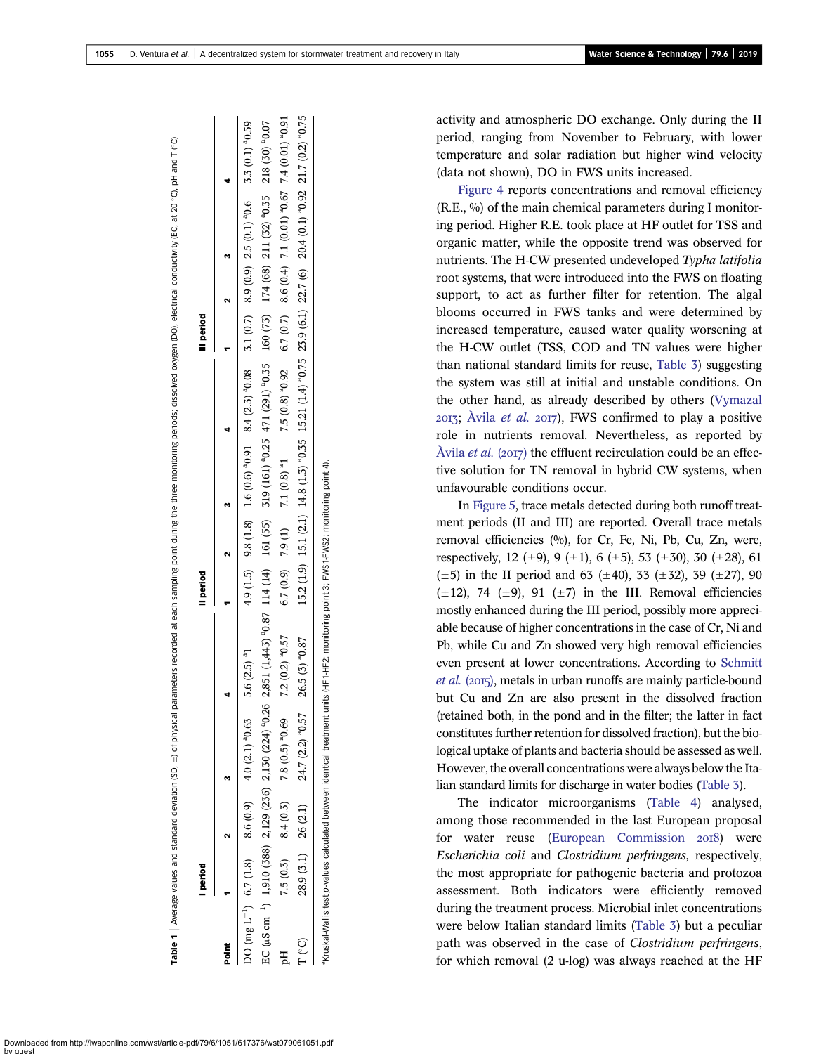<span id="page-4-0"></span>

|        | <b>I</b> period |                        |                                                                          |                                                                                                                                                                       | Il period |             |                                                                                                                                             | III period |                                                                   |  |
|--------|-----------------|------------------------|--------------------------------------------------------------------------|-----------------------------------------------------------------------------------------------------------------------------------------------------------------------|-----------|-------------|---------------------------------------------------------------------------------------------------------------------------------------------|------------|-------------------------------------------------------------------|--|
| Point  |                 | $\mathbf{\hat{z}}$     |                                                                          |                                                                                                                                                                       |           | $1 \t2 \t3$ |                                                                                                                                             |            |                                                                   |  |
|        |                 |                        | DO (mg L <sup>-1</sup> ) 6.7 (1.8) 8.6 (0.9) 4.0 (2.1) <sup>a</sup> 0.63 | $5.6(2.5)$ <sup>a</sup> 1                                                                                                                                             |           |             | $4.9$ (1.5) $0.6$ (1.8) $1.8$ (1.8) $0.6$ (1.6) $0.2$ (1.7) $8.9$ (1.6) $0.3$ (1.7) $8.9$ (1.8) $0.59$ (1.8) $1.8$ (1.8) $1.6$ (1.8) $0.59$ |            |                                                                   |  |
|        |                 |                        |                                                                          | 0.07% 2119 (143) 2129 225 2130 (224) 0.26 2351 (1,443) 0.26 2351 (140 161 (441 161 (55) 319 (150 319 213 443) 0.35 10.55 10.88 218 (39 218 (39 218 (30 2171 (30) 0.35 |           |             |                                                                                                                                             |            |                                                                   |  |
|        |                 | $7.5(0.3)$ 8.4 $(0.3)$ | $7.8(0.5)^{a}0.69$                                                       | 7.2 (0.2) <sup>a</sup> 0.57                                                                                                                                           |           |             | 6.7 (0.9) 7.9 (1) 7.1 (0.8) <sup>a</sup> 1 7.5 (0.8) <sup>a</sup> 0.92                                                                      |            | 6.7 (0.7) 8.6 (0.4) 7.1 (0.01) $^{9}$ 0.67 7.4 (0.01) $^{9}$ 0.91 |  |
| r (°C) |                 |                        | $28.9(3.1)$ $26(2.1)$ $24.7(2.2)^{9}0.57$                                | $26.5(3)$ <sup>a</sup> $0.87$                                                                                                                                         |           |             | 15.2 (1.9) 15.1 (2.1) 14.8 (1.3) ${}^{9}0.35$ 15.21 (1.4) ${}^{9}0.75$ 23.9 (6.1) 22.7 (6) 20.4 (0.1) ${}^{9}0.92$ 21.7 (0.2) ${}^{9}0.75$  |            |                                                                   |  |

aKruskal-Wallis test p-values calculated between identical treatment units (HF1-HF2: monitoring point 3; FWS1-FWS2: monitoring point 4).

activity and atmospheric DO exchange. Only during the II period, ranging from November to February, with lower temperature and solar radiation but higher wind velocity (data not shown), DO in FWS units increased.

[Figure 4](#page-5-0) reports concentrations and removal efficiency  $(R.E., \%)$  of the main chemical parameters during I monitoring period. Higher R.E. took place at HF outlet for TSS and organic matter, while the opposite trend was observed for nutrients. The H-CW presented undeveloped Typha latifolia root systems, that were introduced into the FWS on floating support, to act as further filter for retention. The algal blooms occurred in FWS tanks and were determined by increased temperature, caused water quality worsening at the H-CW outlet (TSS, COD and TN values were higher than national standard limits for reuse, [Table 3](#page-5-0)) suggesting the system was still at initial and unstable conditions. On the other hand, as already described by others [\(Vymazal](#page-8-0)  $2013$ ; [Àvila](#page-7-0) *et al.*  $2017$ ), FWS confirmed to play a positive role in nutrients removal. Nevertheless, as reported by [Àvila](#page-7-0) *et al.* (2017) the effluent recirculation could be an effective solution for TN removal in hybrid CW systems, when unfavourable conditions occur.

In [Figure 5,](#page-5-0) trace metals detected during both runoff treatment periods (II and III) are reported. Overall trace metals removal efficiencies (%), for Cr, Fe, Ni, Pb, Cu, Zn, were, respectively, 12 ( $\pm$ 9), 9 ( $\pm$ 1), 6 ( $\pm$ 5), 53 ( $\pm$ 30), 30 ( $\pm$ 28), 61  $(\pm 5)$  in the II period and 63 ( $\pm 40$ ), 33 ( $\pm 32$ ), 39 ( $\pm 27$ ), 90  $(\pm 12)$ , 74  $(\pm 9)$ , 91  $(\pm 7)$  in the III. Removal efficiencies mostly enhanced during the III period, possibly more appreciable because of higher concentrations in the case of Cr, Ni and Pb, while Cu and Zn showed very high removal efficiencies even present at lower concentrations. According to [Schmitt](#page-8-0)  $et$  al. (2015), metals in urban runoffs are mainly particle-bound but Cu and Zn are also present in the dissolved fraction (retained both, in the pond and in the filter; the latter in fact constitutes further retention for dissolved fraction), but the biological uptake of plants and bacteria should be assessed as well. However, the overall concentrations were always below the Italian standard limits for discharge in water bodies [\(Table 3](#page-5-0)).

The indicator microorganisms ([Table 4\)](#page-6-0) analysed, among those recommended in the last European proposal for water reuse ([European Commission](#page-7-0) 2018) were Escherichia coli and Clostridium perfringens, respectively, the most appropriate for pathogenic bacteria and protozoa assessment. Both indicators were efficiently removed during the treatment process. Microbial inlet concentrations were below Italian standard limits ([Table 3](#page-5-0)) but a peculiar path was observed in the case of Clostridium perfringens, for which removal (2 u-log) was always reached at the HF

Downloaded from http://iwaponline.com/wst/article-pdf/79/6/1051/617376/wst079061051.pdf by guest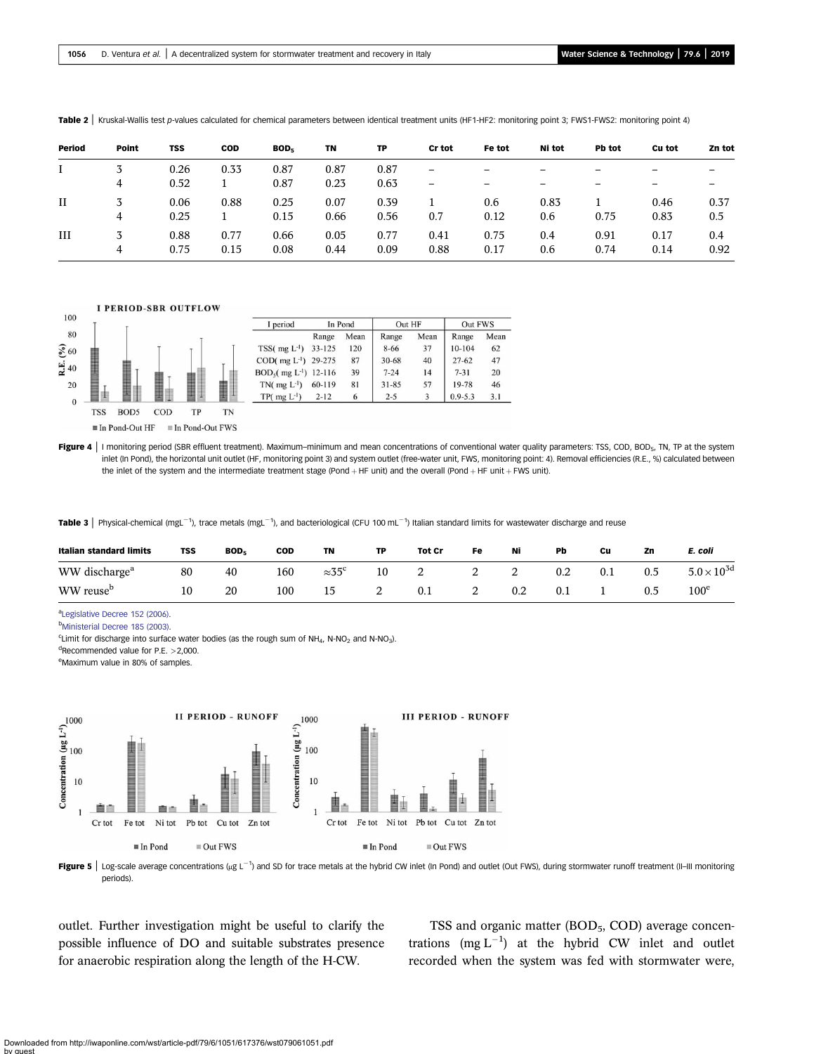| Period      | Point | <b>TSS</b> | <b>COD</b> | BOD <sub>5</sub> | TN   | TP   | Cr tot | Fe tot | Ni tot                   | Pb tot                   | Cu tot | Zn tot |
|-------------|-------|------------|------------|------------------|------|------|--------|--------|--------------------------|--------------------------|--------|--------|
|             |       | 0.26       | 0.33       | 0.87             | 0.87 | 0.87 | -      | -      | -                        | -                        | -      |        |
|             | 4     | 0.52       |            | 0.87             | 0.23 | 0.63 | -      | -      | $\overline{\phantom{0}}$ | $\overline{\phantom{0}}$ | -      | -      |
| $_{\rm II}$ | 3     | 0.06       | 0.88       | 0.25             | 0.07 | 0.39 |        | 0.6    | 0.83                     |                          | 0.46   | 0.37   |
|             | 4     | 0.25       |            | 0.15             | 0.66 | 0.56 | 0.7    | 0.12   | 0.6                      | 0.75                     | 0.83   | 0.5    |
| Ш           | 3     | 0.88       | 0.77       | 0.66             | 0.05 | 0.77 | 0.41   | 0.75   | 0.4                      | 0.91                     | 0.17   | 0.4    |
|             | 4     | 0.75       | 0.15       | 0.08             | 0.44 | 0.09 | 0.88   | 0.17   | 0.6                      | 0.74                     | 0.14   | 0.92   |

<span id="page-5-0"></span>Table 2 | Kruskal-Wallis test p-values calculated for chemical parameters between identical treatment units (HF1-HF2: monitoring point 3; FWS1-FWS2: monitoring point 4)





Figure 4 | I monitoring period (SBR effluent treatment). Maximum–minimum and mean concentrations of conventional water quality parameters: TSS, COD, BOD<sub>5</sub>, TN, TP at the system inlet (In Pond), the horizontal unit outlet (HF, monitoring point 3) and system outlet (free-water unit, FWS, monitoring point: 4). Removal efficiencies (R.E., %) calculated between the inlet of the system and the intermediate treatment stage (Pond  $+$  HF unit) and the overall (Pond  $+$  HF unit  $+$  FWS unit).

Table 3 | Physical-chemical (mgL<sup>-1</sup>), trace metals (mgL<sup>-1</sup>), and bacteriological (CFU 100 mL<sup>-1</sup>) Italian standard limits for wastewater discharge and reuse

| <b>Italian standard limits</b> | <b>TSS</b> | BOD <sub>5</sub> | COD | TN                   | <b>TP</b> | Tot Cr | Fe | Ni | Pb  | Cu  | Zn  | E. coli              |
|--------------------------------|------------|------------------|-----|----------------------|-----------|--------|----|----|-----|-----|-----|----------------------|
| WW discharge <sup>a</sup>      | 80         | 40               | 160 | $\approx 35^{\circ}$ | 10        | -      | -  |    | 0.2 | 0.1 | 0.5 | $5.0 \times 10^{3d}$ |
| WW reuse <sup>b</sup>          | 10         | 20               | 100 | 15                   |           | 0.1    | -  |    | 0.1 |     | 0.5 | $100^{\rm e}$        |

a[Legislative Decree 152 \(2006\)](#page-7-0).

b [Ministerial Decree 185 \(2003\)](#page-8-0).

<sup>c</sup>Limit for discharge into surface water bodies (as the rough sum of NH<sub>4</sub>, N-NO<sub>2</sub> and N-NO<sub>3</sub>).

d Recommended value for P.E. >2,000.

eMaximum value in 80% of samples.





outlet. Further investigation might be useful to clarify the possible influence of DO and suitable substrates presence for anaerobic respiration along the length of the H-CW.

TSS and organic matter (BOD<sub>5</sub>, COD) average concentrations (mg  $L^{-1}$ ) at the hybrid CW inlet and outlet recorded when the system was fed with stormwater were,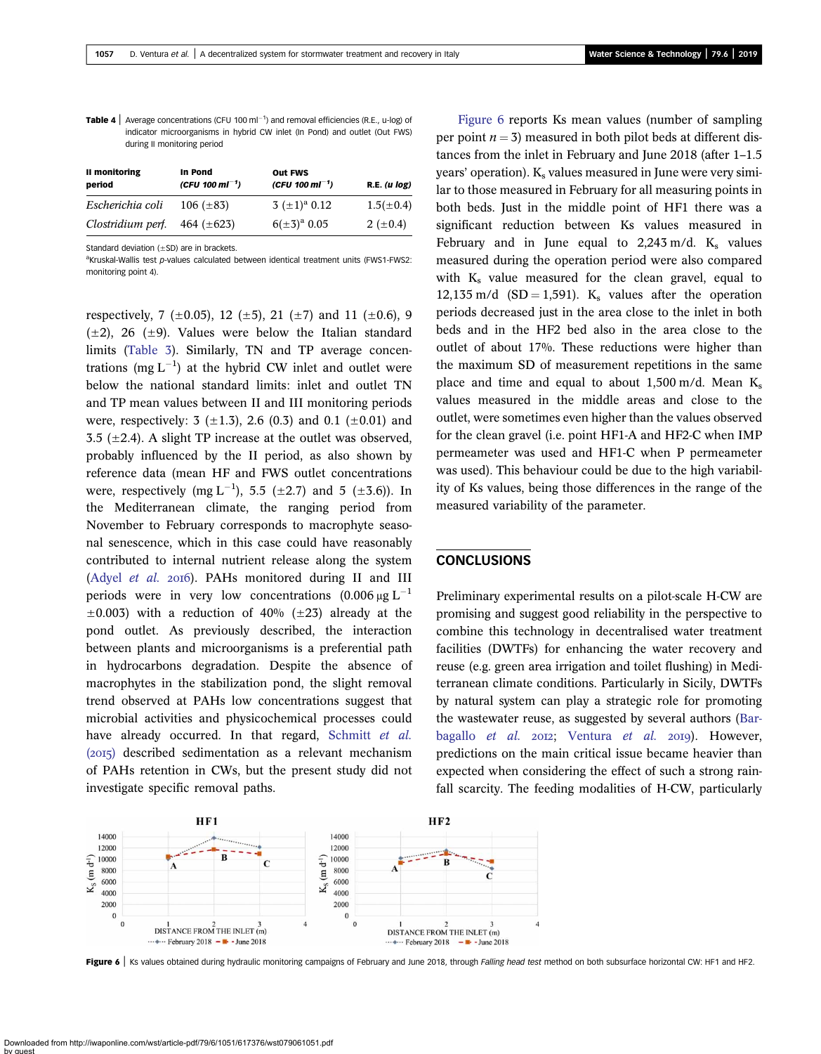<span id="page-6-0"></span>**Table 4** Average concentrations (CFU 100 ml<sup>-1</sup>) and removal efficiencies (R.E., u-log) of indicator microorganisms in hybrid CW inlet (In Pond) and outlet (Out FWS) during II monitoring period

| II monitoring<br>period | In Pond<br>(CFU 100 ml <sup>-1</sup> ) | <b>Out FWS</b><br>(CFU 100 ml <sup>-1</sup> ) | R.E. (u log)   |
|-------------------------|----------------------------------------|-----------------------------------------------|----------------|
| Escherichia coli        | 106 $(\pm 83)$                         | $3~(\pm 1)^{a}~0.12$                          | $1.5(\pm 0.4)$ |
| Clostridium perf.       | 464 $(\pm 623)$                        | $6(\pm 3)^{a}$ 0.05                           | 2 ( $\pm$ 0.4) |

Standard deviation  $(\pm SD)$  are in brackets.

<sup>a</sup>Kruskal-Wallis test p-values calculated between identical treatment units (FWS1-FWS2: monitoring point 4).

respectively, 7 ( $\pm$ 0.05), 12 ( $\pm$ 5), 21 ( $\pm$ 7) and 11 ( $\pm$ 0.6), 9  $(\pm 2)$ , 26  $(\pm 9)$ . Values were below the Italian standard limits ([Table 3\)](#page-5-0). Similarly, TN and TP average concentrations (mg  $L^{-1}$ ) at the hybrid CW inlet and outlet were below the national standard limits: inlet and outlet TN and TP mean values between II and III monitoring periods were, respectively: 3  $(\pm 1.3)$ , 2.6  $(0.3)$  and 0.1  $(\pm 0.01)$  and 3.5 ( $\pm$ 2.4). A slight TP increase at the outlet was observed, probably influenced by the II period, as also shown by reference data (mean HF and FWS outlet concentrations were, respectively (mg L<sup>-1</sup>), 5.5 ( $\pm$ 2.7) and 5 ( $\pm$ 3.6)). In the Mediterranean climate, the ranging period from November to February corresponds to macrophyte seasonal senescence, which in this case could have reasonably contributed to internal nutrient release along the system [\(Adyel](#page-7-0) et al. 2016). PAHs monitored during II and III periods were in very low concentrations  $(0.006 \mu g L^{-1})$  $\pm 0.003$ ) with a reduction of 40% ( $\pm 23$ ) already at the pond outlet. As previously described, the interaction between plants and microorganisms is a preferential path in hydrocarbons degradation. Despite the absence of macrophytes in the stabilization pond, the slight removal trend observed at PAHs low concentrations suggest that microbial activities and physicochemical processes could have already occurred. In that regard, [Schmitt](#page-8-0) et al.  $(2015)$  described sedimentation as a relevant mechanism of PAHs retention in CWs, but the present study did not investigate specific removal paths.

Figure 6 reports Ks mean values (number of sampling per point  $n = 3$ ) measured in both pilot beds at different distances from the inlet in February and June 2018 (after 1–1.5  $years' operation$ ).  $K_s$  values measured in June were very similar to those measured in February for all measuring points in both beds. Just in the middle point of HF1 there was a significant reduction between Ks values measured in February and in June equal to  $2,243$  m/d. K<sub>s</sub> values measured during the operation period were also compared with  $K_s$  value measured for the clean gravel, equal to 12,135 m/d (SD = 1,591). K<sub>s</sub> values after the operation periods decreased just in the area close to the inlet in both beds and in the HF2 bed also in the area close to the outlet of about 17%. These reductions were higher than the maximum SD of measurement repetitions in the same place and time and equal to about 1,500 m/d. Mean  $K_s$ values measured in the middle areas and close to the outlet, were sometimes even higher than the values observed for the clean gravel (i.e. point HF1-A and HF2-C when IMP permeameter was used and HF1-C when P permeameter was used). This behaviour could be due to the high variability of Ks values, being those differences in the range of the measured variability of the parameter.

## **CONCLUSIONS**

Preliminary experimental results on a pilot-scale H-CW are promising and suggest good reliability in the perspective to combine this technology in decentralised water treatment facilities (DWTFs) for enhancing the water recovery and reuse (e.g. green area irrigation and toilet flushing) in Mediterranean climate conditions. Particularly in Sicily, DWTFs by natural system can play a strategic role for promoting the wastewater reuse, as suggested by several authors [\(Bar](#page-7-0)[bagallo](#page-7-0) et al.  $20I2$ ; [Ventura](#page-8-0) et al.  $20I9$ ). However, predictions on the main critical issue became heavier than expected when considering the effect of such a strong rainfall scarcity. The feeding modalities of H-CW, particularly



Figure 6 | Ks values obtained during hydraulic monitoring campaigns of February and June 2018, through Falling head test method on both subsurface horizontal CW: HF1 and HF2.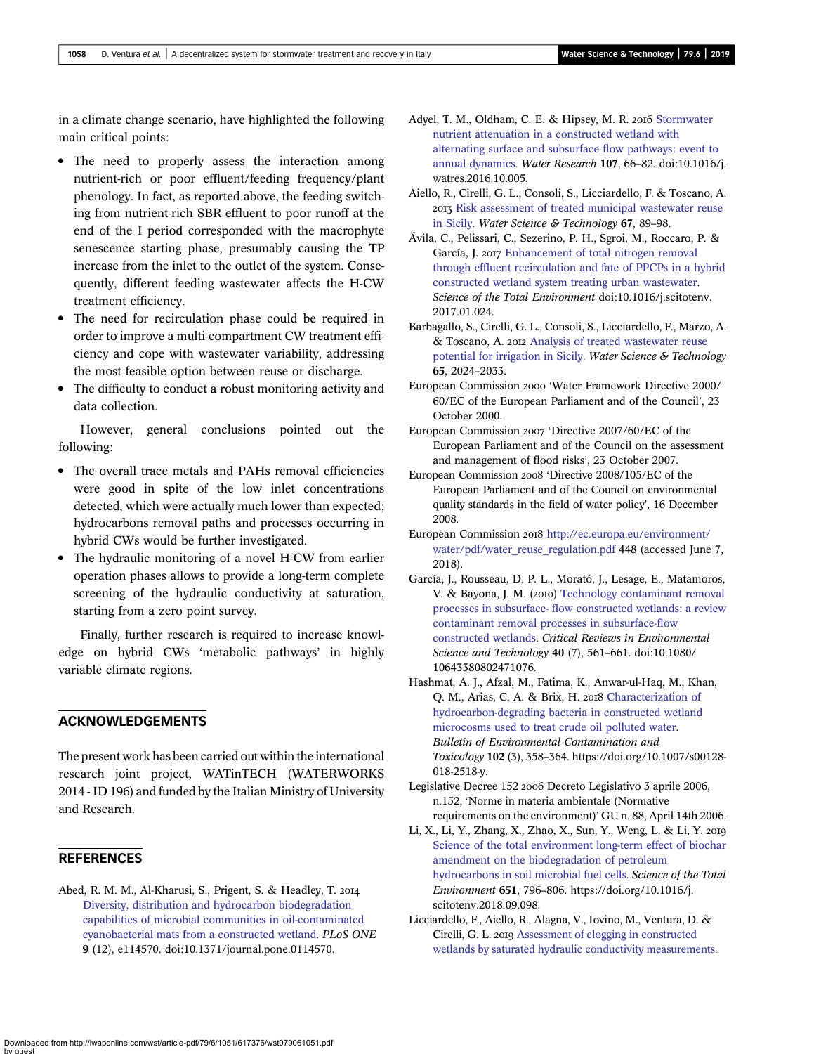<span id="page-7-0"></span>in a climate change scenario, have highlighted the following main critical points:

- The need to properly assess the interaction among nutrient-rich or poor effluent/feeding frequency/plant phenology. In fact, as reported above, the feeding switching from nutrient-rich SBR effluent to poor runoff at the end of the I period corresponded with the macrophyte senescence starting phase, presumably causing the TP increase from the inlet to the outlet of the system. Consequently, different feeding wastewater affects the H-CW treatment efficiency.
- The need for recirculation phase could be required in order to improve a multi-compartment CW treatment efficiency and cope with wastewater variability, addressing the most feasible option between reuse or discharge.
- The difficulty to conduct a robust monitoring activity and data collection.

However, general conclusions pointed out the following:

- The overall trace metals and PAHs removal efficiencies were good in spite of the low inlet concentrations detected, which were actually much lower than expected; hydrocarbons removal paths and processes occurring in hybrid CWs would be further investigated.
- The hydraulic monitoring of a novel H-CW from earlier operation phases allows to provide a long-term complete screening of the hydraulic conductivity at saturation, starting from a zero point survey.

Finally, further research is required to increase knowledge on hybrid CWs 'metabolic pathways' in highly variable climate regions.

# ACKNOWLEDGEMENTS

The present work has been carried out within the international research joint project, WATinTECH (WATERWORKS 2014 - ID 196) and funded by the Italian Ministry of University and Research.

#### **REFERENCES**

Abed, R. M. M., Al-Kharusi, S., Prigent, S. & Headley, T. [Diversity, distribution and hydrocarbon biodegradation](http://dx.doi.org/10.1371/journal.pone.0114570) [capabilities of microbial communities in oil-contaminated](http://dx.doi.org/10.1371/journal.pone.0114570) [cyanobacterial mats from a constructed wetland.](http://dx.doi.org/10.1371/journal.pone.0114570) PLoS ONE 9 (12), e114570. doi:10.1371/journal.pone.0114570.

- Advel, T. M., Oldham, C. E. & Hipsey, M. R. 2016 [Stormwater](http://dx.doi.org/10.1016/j.watres.2016.10.005) [nutrient attenuation in a constructed wetland with](http://dx.doi.org/10.1016/j.watres.2016.10.005) [alternating surface and subsurface flow pathways: event to](http://dx.doi.org/10.1016/j.watres.2016.10.005) [annual dynamics.](http://dx.doi.org/10.1016/j.watres.2016.10.005) Water Research 107, 66–82. doi:10.1016/j. watres.2016.10.005.
- Aiello, R., Cirelli, G. L., Consoli, S., Licciardello, F. & Toscano, A. 2013 [Risk assessment of treated municipal wastewater reuse](http://dx.doi.org/10.2166/wst.2012.535) [in Sicily.](http://dx.doi.org/10.2166/wst.2012.535) Water Science & Technology 67, 89-98.
- Ávila, C., Pelissari, C., Sezerino, P. H., Sgroi, M., Roccaro, P. & García, J. 2017 [Enhancement of total nitrogen removal](http://dx.doi.org/10.1016/j.scitotenv.2017.01.024) [through effluent recirculation and fate of PPCPs in a hybrid](http://dx.doi.org/10.1016/j.scitotenv.2017.01.024) [constructed wetland system treating urban wastewater.](http://dx.doi.org/10.1016/j.scitotenv.2017.01.024) Science of the Total Environment doi:10.1016/j.scitotenv. 2017.01.024.
- Barbagallo, S., Cirelli, G. L., Consoli, S., Licciardello, F., Marzo, A. & Toscano, A. 2012 [Analysis of treated wastewater reuse](http://dx.doi.org/10.2166/wst.2012.102) [potential for irrigation in Sicily.](http://dx.doi.org/10.2166/wst.2012.102) Water Science & Technology 65, 2024–2033.
- European Commission 2000 'Water Framework Directive 2000/ 60/EC of the European Parliament and of the Council', 23 October 2000.
- European Commission 2007 'Directive 2007/60/EC of the European Parliament and of the Council on the assessment and management of flood risks', 23 October 2007.
- European Commission 2008 'Directive 2008/105/EC of the European Parliament and of the Council on environmental quality standards in the field of water policy', 16 December 2008.
- European Commission 2018 [http://ec.europa.eu/environment/](http://ec.europa.eu/environment/water/pdf/water_reuse_regulation.pdf) [water/pdf/water\\_reuse\\_regulation.pdf](http://ec.europa.eu/environment/water/pdf/water_reuse_regulation.pdf) 448 (accessed June 7, 2018).
- García, J., Rousseau, D. P. L., Morató, J., Lesage, E., Matamoros, V. & Bayona, J. M. (2010) [Technology contaminant removal](http://dx.doi.org/10.1080/10643380802471076) [processes in subsurface- flow constructed wetlands: a review](http://dx.doi.org/10.1080/10643380802471076) [contaminant removal processes in subsurface-flow](http://dx.doi.org/10.1080/10643380802471076) [constructed wetlands.](http://dx.doi.org/10.1080/10643380802471076) Critical Reviews in Environmental Science and Technology 40 (7), 561–661. doi:10.1080/ 10643380802471076.
- Hashmat, A. J., Afzal, M., Fatima, K., Anwar-ul-Haq, M., Khan, Q. M., Arias, C. A. & Brix, H. 2018 [Characterization of](http://dx.doi.org/10.1007/s00128-018-2518-y) [hydrocarbon-degrading bacteria in constructed wetland](http://dx.doi.org/10.1007/s00128-018-2518-y) [microcosms used to treat crude oil polluted water](http://dx.doi.org/10.1007/s00128-018-2518-y). Bulletin of Environmental Contamination and Toxicology 102 (3), 358–364. https://doi.org/10.1007/s00128- 018-2518-y.
- Legislative Decree 152 2006 Decreto Legislativo 3 aprile 2006, n.152, 'Norme in materia ambientale (Normative requirements on the environment)' GU n. 88, April 14th 2006.
- Li, X., Li, Y., Zhang, X., Zhao, X., Sun, Y., Weng, L. & Li, Y. [Science of the total environment long-term effect of biochar](http://dx.doi.org/10.1016/j.scitotenv.2018.09.098) [amendment on the biodegradation of petroleum](http://dx.doi.org/10.1016/j.scitotenv.2018.09.098) [hydrocarbons in soil microbial fuel cells](http://dx.doi.org/10.1016/j.scitotenv.2018.09.098). Science of the Total Environment 651, 796–806. https://doi.org/10.1016/j. scitotenv.2018.09.098.
- Licciardello, F., Aiello, R., Alagna, V., Iovino, M., Ventura, D. & Cirelli, G. L. 2019 [Assessment of clogging in constructed](http://dx.doi.org/10.2166/wst.2019.045) [wetlands by saturated hydraulic conductivity measurements.](http://dx.doi.org/10.2166/wst.2019.045)

Downloaded from http://iwaponline.com/wst/article-pdf/79/6/1051/617376/wst079061051.pdf by guest